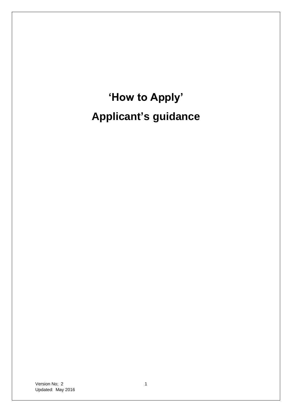# **'How to Apply' Applicant's guidance**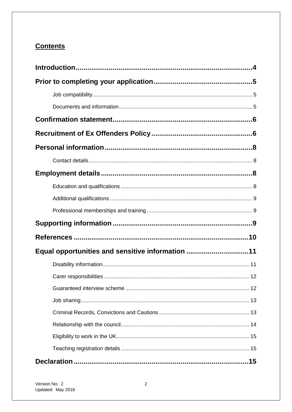## **Contents**

| Equal opportunities and sensitive information 11 |  |
|--------------------------------------------------|--|
|                                                  |  |
|                                                  |  |
|                                                  |  |
|                                                  |  |
|                                                  |  |
|                                                  |  |
|                                                  |  |
|                                                  |  |
|                                                  |  |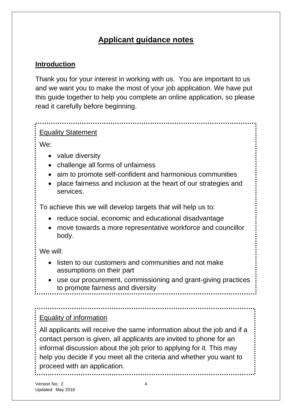# **Applicant guidance notes**

#### <span id="page-3-0"></span>**Introduction**

Thank you for your interest in working with us. You are important to us and we want you to make the most of your job application. We have put this guide together to help you complete an online application, so please read it carefully before beginning.

#### Equality Statement

We:

- value diversity
- challenge all forms of unfairness
- aim to promote self-confident and harmonious communities
- place fairness and inclusion at the heart of our strategies and services.

To achieve this we will develop targets that will help us to:

- reduce social, economic and educational disadvantage
- move towards a more representative workforce and councillor body.

We will:

- listen to our customers and communities and not make assumptions on their part
- use our procurement, commissioning and grant-giving practices to promote fairness and diversity

#### Equality of information

All applicants will receive the same information about the job and if a contact person is given, all applicants are invited to phone for an informal discussion about the job prior to applying for it. This may help you decide if you meet all the criteria and whether you want to proceed with an application.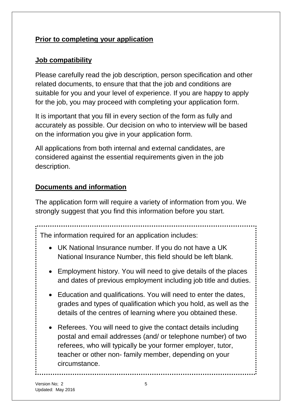#### <span id="page-4-0"></span>**Prior to completing your application**

#### <span id="page-4-1"></span>**Job compatibility**

Please carefully read the job description, person specification and other related documents, to ensure that that the job and conditions are suitable for you and your level of experience. If you are happy to apply for the job, you may proceed with completing your application form.

It is important that you fill in every section of the form as fully and accurately as possible. Our decision on who to interview will be based on the information you give in your application form.

All applications from both internal and external candidates, are considered against the essential requirements given in the job description.

# <span id="page-4-2"></span>**Documents and information**

The application form will require a variety of information from you. We strongly suggest that you find this information before you start.

The information required for an application includes:

- UK National Insurance number. If you do not have a UK National Insurance Number, this field should be left blank.
- Employment history. You will need to give details of the places and dates of previous employment including job title and duties.
- Education and qualifications. You will need to enter the dates, grades and types of qualification which you hold, as well as the details of the centres of learning where you obtained these.
- Referees. You will need to give the contact details including postal and email addresses (and/ or telephone number) of two referees, who will typically be your former employer, tutor, teacher or other non- family member, depending on your circumstance.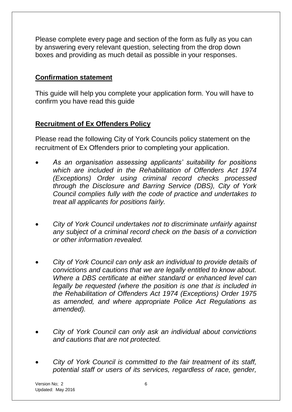Please complete every page and section of the form as fully as you can by answering every relevant question, selecting from the drop down boxes and providing as much detail as possible in your responses.

#### <span id="page-5-0"></span>**Confirmation statement**

This guide will help you complete your application form. You will have to confirm you have read this guide

#### <span id="page-5-1"></span>**Recruitment of Ex Offenders Policy**

Please read the following City of York Councils policy statement on the recruitment of Ex Offenders prior to completing your application.

- *As an organisation assessing applicants' suitability for positions which are included in the Rehabilitation of Offenders Act 1974 (Exceptions) Order using criminal record checks processed through the Disclosure and Barring Service (DBS), City of York Council complies fully with the code of practice and undertakes to treat all applicants for positions fairly.*
- *City of York Council undertakes not to discriminate unfairly against any subject of a criminal record check on the basis of a conviction or other information revealed.*
- *City of York Council can only ask an individual to provide details of convictions and cautions that we are legally entitled to know about. Where a DBS certificate at either standard or enhanced level can legally be requested (where the position is one that is included in the Rehabilitation of Offenders Act 1974 (Exceptions) Order 1975 as amended, and where appropriate Police Act Regulations as amended).*
- *City of York Council can only ask an individual about convictions and cautions that are not protected.*
- *City of York Council is committed to the fair treatment of its staff, potential staff or users of its services, regardless of race, gender,*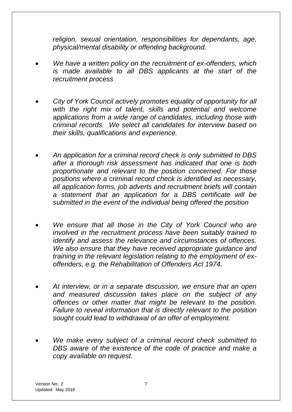*religion, sexual orientation, responsibilities for dependants, age, physical/mental disability or offending background.*

- *We have a written policy on the recruitment of ex-offenders, which is made available to all DBS applicants at the start of the recruitment process*
- *City of York Council actively promotes equality of opportunity for all with the right mix of talent, skills and potential and welcome applications from a wide range of candidates, including those with criminal records. We select all candidates for interview based on their skills, qualifications and experience.*
- *An application for a criminal record check is only submitted to DBS after a thorough risk assessment has indicated that one is both proportionate and relevant to the position concerned. For those positions where a criminal record check is identified as necessary, all application forms, job adverts and recruitment briefs will contain a statement that an application for a DBS certificate will be submitted in the event of the individual being offered the position*
- *We ensure that all those in the City of York Council who are involved in the recruitment process have been suitably trained to identify and assess the relevance and circumstances of offences. We also ensure that they have received appropriate guidance and training in the relevant legislation relating to the employment of exoffenders, e.g. the Rehabilitation of Offenders Act 1974.*
- *At interview, or in a separate discussion, we ensure that an open and measured discussion takes place on the subject of any offences or other matter that might be relevant to the position. Failure to reveal information that is directly relevant to the position sought could lead to withdrawal of an offer of employment.*
- *We make every subject of a criminal record check submitted to DBS aware of the existence of the code of practice and make a copy available on request.*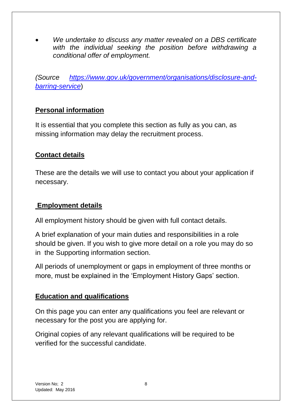*We undertake to discuss any matter revealed on a DBS certificate with the individual seeking the position before withdrawing a conditional offer of employment.*

*(Source [https://www.gov.uk/government/organisations/disclosure-and](https://www.gov.uk/government/organisations/disclosure-and-barring-service)[barring-service](https://www.gov.uk/government/organisations/disclosure-and-barring-service)*)

#### <span id="page-7-0"></span>**Personal information**

It is essential that you complete this section as fully as you can, as missing information may delay the recruitment process.

#### <span id="page-7-1"></span>**Contact details**

These are the details we will use to contact you about your application if necessary.

#### <span id="page-7-2"></span>**Employment details**

All employment history should be given with full contact details.

A brief explanation of your main duties and responsibilities in a role should be given. If you wish to give more detail on a role you may do so in the Supporting information section.

All periods of unemployment or gaps in employment of three months or more, must be explained in the 'Employment History Gaps' section.

#### <span id="page-7-3"></span>**Education and qualifications**

On this page you can enter any qualifications you feel are relevant or necessary for the post you are applying for.

Original copies of any relevant qualifications will be required to be verified for the successful candidate.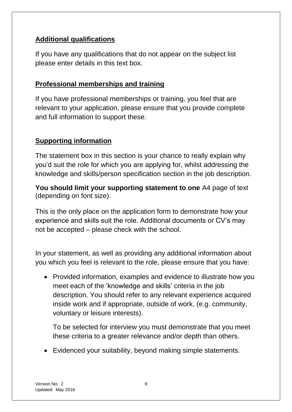### <span id="page-8-0"></span>**Additional qualifications**

If you have any qualifications that do not appear on the subject list please enter details in this text box.

#### <span id="page-8-1"></span>**Professional memberships and training**

If you have professional memberships or training, you feel that are relevant to your application, please ensure that you provide complete and full information to support these.

### <span id="page-8-2"></span>**Supporting information**

The statement box in this section is your chance to really explain why you'd suit the role for which you are applying for, whilst addressing the knowledge and skills/person specification section in the job description.

**You should limit your supporting statement to one** A4 page of text (depending on font size).

This is the only place on the application form to demonstrate how your experience and skills suit the role. Additional documents or CV's may not be accepted – please check with the school.

In your statement, as well as providing any additional information about you which you feel is relevant to the role, please ensure that you have:

• Provided information, examples and evidence to illustrate how you meet each of the 'knowledge and skills' criteria in the job description. You should refer to any relevant experience acquired inside work and if appropriate, outside of work, (e.g. community, voluntary or leisure interests).

To be selected for interview you must demonstrate that you meet these criteria to a greater relevance and/or depth than others.

Evidenced your suitability, beyond making simple statements.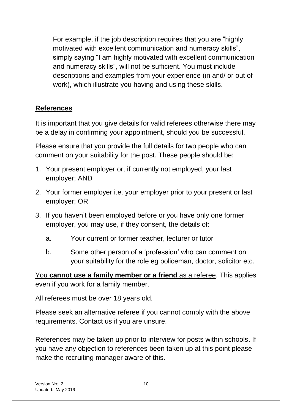For example, if the job description requires that you are "highly motivated with excellent communication and numeracy skills", simply saying "I am highly motivated with excellent communication and numeracy skills", will not be sufficient. You must include descriptions and examples from your experience (in and/ or out of work), which illustrate you having and using these skills.

#### <span id="page-9-0"></span>**References**

It is important that you give details for valid referees otherwise there may be a delay in confirming your appointment, should you be successful.

Please ensure that you provide the full details for two people who can comment on your suitability for the post. These people should be:

- 1. Your present employer or, if currently not employed, your last employer; AND
- 2. Your former employer i.e. your employer prior to your present or last employer; OR
- 3. If you haven't been employed before or you have only one former employer, you may use, if they consent, the details of:
	- a. Your current or former teacher, lecturer or tutor
	- b. Some other person of a 'profession' who can comment on your suitability for the role eg policeman, doctor, solicitor etc.

You **cannot use a family member or a friend** as a referee. This applies even if you work for a family member.

All referees must be over 18 years old.

Please seek an alternative referee if you cannot comply with the above requirements. Contact us if you are unsure.

References may be taken up prior to interview for posts within schools. If you have any objection to references been taken up at this point please make the recruiting manager aware of this.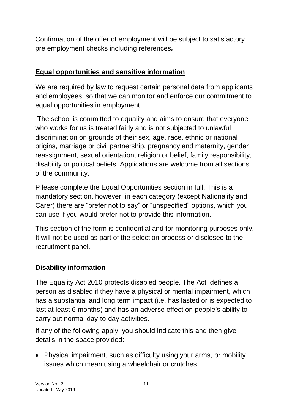Confirmation of the offer of employment will be subject to satisfactory pre employment checks including references*.*

# <span id="page-10-0"></span>**Equal opportunities and sensitive information**

We are required by law to request certain personal data from applicants and employees, so that we can monitor and enforce our commitment to equal opportunities in employment.

The school is committed to equality and aims to ensure that everyone who works for us is treated fairly and is not subjected to unlawful discrimination on grounds of their sex, age, race, ethnic or national origins, marriage or civil partnership, pregnancy and maternity, gender reassignment, sexual orientation, religion or belief, family responsibility, disability or political beliefs. Applications are welcome from all sections of the community.

P lease complete the Equal Opportunities section in full. This is a mandatory section, however, in each category (except Nationality and Carer) there are "prefer not to say" or "unspecified" options, which you can use if you would prefer not to provide this information.

This section of the form is confidential and for monitoring purposes only. It will not be used as part of the selection process or disclosed to the recruitment panel.

### <span id="page-10-1"></span>**Disability information**

The Equality Act 2010 protects disabled people. The Act defines a person as disabled if they have a physical or mental impairment, which has a substantial and long term impact (i.e. has lasted or is expected to last at least 6 months) and has an adverse effect on people's ability to carry out normal day-to-day activities.

If any of the following apply, you should indicate this and then give details in the space provided:

• Physical impairment, such as difficulty using your arms, or mobility issues which mean using a wheelchair or crutches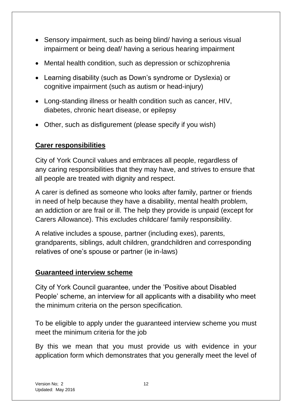- Sensory impairment, such as being blind/ having a serious visual impairment or being deaf/ having a serious hearing impairment
- Mental health condition, such as depression or schizophrenia
- Learning disability (such as Down's syndrome or Dyslexia) or cognitive impairment (such as autism or head-injury)
- Long-standing illness or health condition such as cancer, HIV, diabetes, chronic heart disease, or epilepsy
- <span id="page-11-0"></span>Other, such as disfigurement (please specify if you wish)

#### **Carer responsibilities**

City of York Council values and embraces all people, regardless of any caring responsibilities that they may have, and strives to ensure that all people are treated with dignity and respect.

A carer is defined as someone who looks after family, partner or friends in need of help because they have a disability, mental health problem, an addiction or are frail or ill. The help they provide is unpaid (except for Carers Allowance). This excludes childcare/ family responsibility.

A relative includes a spouse, partner (including exes), parents, grandparents, siblings, adult children, grandchildren and corresponding relatives of one's spouse or partner (ie in-laws)

#### <span id="page-11-1"></span>**Guaranteed interview scheme**

City of York Council guarantee, under the 'Positive about Disabled People' scheme, an interview for all applicants with a disability who meet the minimum criteria on the person specification.

To be eligible to apply under the guaranteed interview scheme you must meet the minimum criteria for the job

By this we mean that you must provide us with evidence in your application form which demonstrates that you generally meet the level of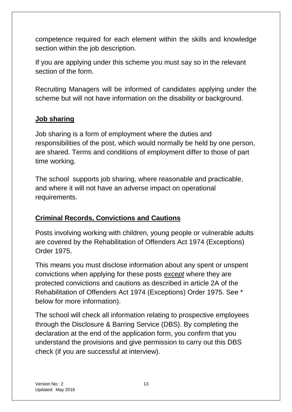competence required for each element within the skills and knowledge section within the job description.

If you are applying under this scheme you must say so in the relevant section of the form.

Recruiting Managers will be informed of candidates applying under the scheme but will not have information on the disability or background.

#### <span id="page-12-0"></span>**Job sharing**

Job sharing is a form of employment where the duties and responsibilities of the post, which would normally be held by one person, are shared. Terms and conditions of employment differ to those of part time working.

The school supports job sharing, where reasonable and practicable, and where it will not have an adverse impact on operational requirements.

### <span id="page-12-1"></span>**Criminal Records, Convictions and Cautions**

Posts involving working with children, young people or vulnerable adults are covered by the Rehabilitation of Offenders Act 1974 (Exceptions) Order 1975.

This means you must disclose information about any spent or unspent convictions when applying for these posts *except* where they are protected convictions and cautions as described in article 2A of the Rehabilitation of Offenders Act 1974 (Exceptions) Order 1975. See \* below for more information).

The school will check all information relating to prospective employees through the Disclosure & Barring Service (DBS). By completing the declaration at the end of the application form, you confirm that you understand the provisions and give permission to carry out this DBS check (if you are successful at interview).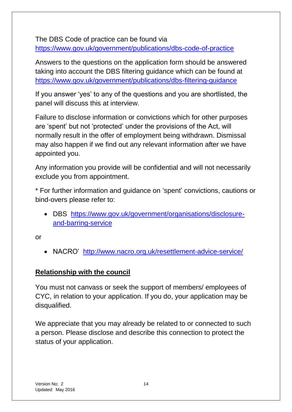The DBS Code of practice can be found via <https://www.gov.uk/government/publications/dbs-code-of-practice>

Answers to the questions on the application form should be answered taking into account the DBS filtering guidance which can be found at <https://www.gov.uk/government/publications/dbs-filtering-guidance>

If you answer 'yes' to any of the questions and you are shortlisted, the panel will discuss this at interview.

Failure to disclose information or convictions which for other purposes are 'spent' but not 'protected' under the provisions of the Act, will normally result in the offer of employment being withdrawn. Dismissal may also happen if we find out any relevant information after we have appointed you.

Any information you provide will be confidential and will not necessarily exclude you from appointment.

\* For further information and guidance on 'spent' convictions, cautions or bind-overs please refer to:

 DBS [https://www.gov.uk/government/organisations/disclosure](https://www.gov.uk/government/organisations/disclosure-and-barring-service)[and-barring-service](https://www.gov.uk/government/organisations/disclosure-and-barring-service)

or

NACRO' <http://www.nacro.org.uk/resettlement-advice-service/>

### <span id="page-13-0"></span>**Relationship with the council**

You must not canvass or seek the support of members/ employees of CYC, in relation to your application. If you do, your application may be disqualified.

We appreciate that you may already be related to or connected to such a person. Please disclose and describe this connection to protect the status of your application.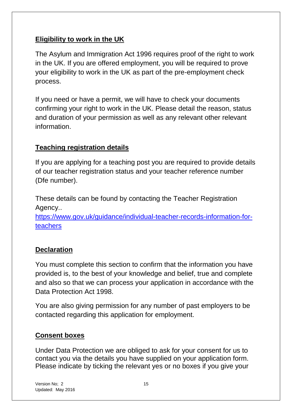#### <span id="page-14-0"></span>**Eligibility to work in the UK**

The Asylum and Immigration Act 1996 requires proof of the right to work in the UK. If you are offered employment, you will be required to prove your eligibility to work in the UK as part of the pre-employment check process.

If you need or have a permit, we will have to check your documents confirming your right to work in the UK. Please detail the reason, status and duration of your permission as well as any relevant other relevant information.

#### <span id="page-14-1"></span>**Teaching registration details**

If you are applying for a teaching post you are required to provide details of our teacher registration status and your teacher reference number (Dfe number).

These details can be found by contacting the Teacher Registration Agency..

[https://www.gov.uk/guidance/individual-teacher-records-information-for](https://www.gov.uk/guidance/individual-teacher-records-information-for-teachers)[teachers](https://www.gov.uk/guidance/individual-teacher-records-information-for-teachers)

#### <span id="page-14-2"></span>**Declaration**

You must complete this section to confirm that the information you have provided is, to the best of your knowledge and belief, true and complete and also so that we can process your application in accordance with the Data Protection Act 1998.

You are also giving permission for any number of past employers to be contacted regarding this application for employment.

#### <span id="page-14-3"></span>**Consent boxes**

Under Data Protection we are obliged to ask for your consent for us to contact you via the details you have supplied on your application form. Please indicate by ticking the relevant yes or no boxes if you give your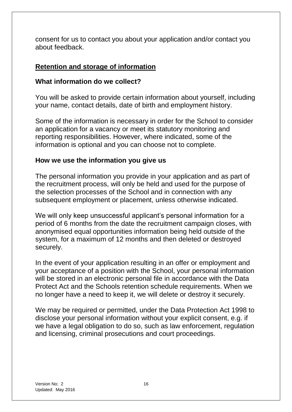consent for us to contact you about your application and/or contact you about feedback.

### <span id="page-15-0"></span>**Retention and storage of information**

#### **What information do we collect?**

You will be asked to provide certain information about yourself, including your name, contact details, date of birth and employment history.

Some of the information is necessary in order for the School to consider an application for a vacancy or meet its statutory monitoring and reporting responsibilities. However, where indicated, some of the information is optional and you can choose not to complete.

#### **How we use the information you give us**

The personal information you provide in your application and as part of the recruitment process, will only be held and used for the purpose of the selection processes of the School and in connection with any subsequent employment or placement, unless otherwise indicated.

We will only keep unsuccessful applicant's personal information for a period of 6 months from the date the recruitment campaign closes, with anonymised equal opportunities information being held outside of the system, for a maximum of 12 months and then deleted or destroyed securely.

In the event of your application resulting in an offer or employment and your acceptance of a position with the School, your personal information will be stored in an electronic personal file in accordance with the Data Protect Act and the Schools retention schedule requirements. When we no longer have a need to keep it, we will delete or destroy it securely.

We may be required or permitted, under the Data Protection Act 1998 to disclose your personal information without your explicit consent, e.g. if we have a legal obligation to do so, such as law enforcement, regulation and licensing, criminal prosecutions and court proceedings.